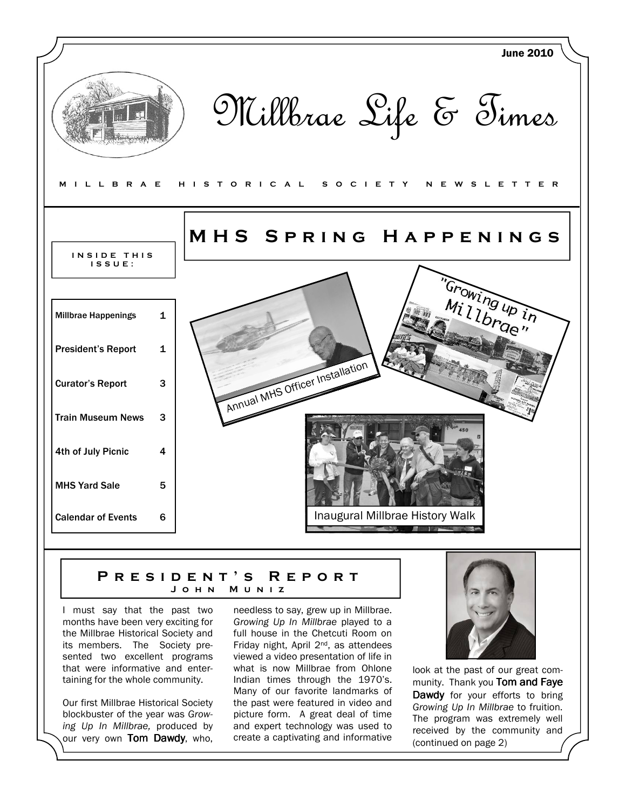

### P R E S I D E N T ' S R E P O R T M U N I Z

I must say that the past two months have been very exciting for the Millbrae Historical Society and its members. The Society presented two excellent programs that were informative and entertaining for the whole community.

Our first Millbrae Historical Society blockbuster of the year was Growing Up In Millbrae, produced by our very own Tom Dawdy, who, needless to say, grew up in Millbrae. Growing Up In Millbrae played to a full house in the Chetcuti Room on Friday night, April 2nd, as attendees viewed a video presentation of life in what is now Millbrae from Ohlone Indian times through the 1970's. Many of our favorite landmarks of the past were featured in video and picture form. A great deal of time and expert technology was used to create a captivating and informative



look at the past of our great community. Thank you Tom and Faye Dawdy for your efforts to bring Growing Up In Millbrae to fruition. The program was extremely well received by the community and (continued on page 2)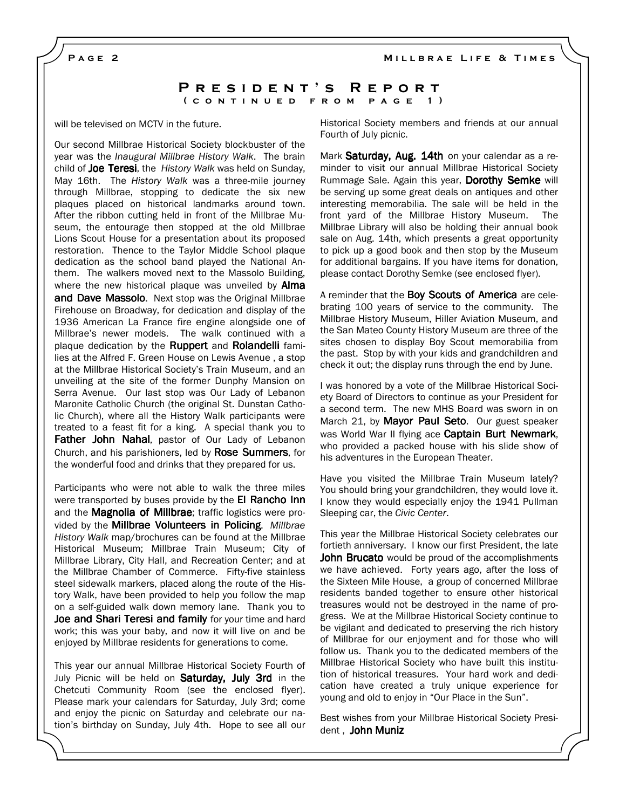MILLBRAE LIFE & TIMES

PAGE<sub>2</sub>

## PRESIDENT'S REPORT ( CONTINUED FROM PAGE 1)

will be televised on MCTV in the future.

Our second Millbrae Historical Society blockbuster of the year was the Inaugural Millbrae History Walk. The brain child of Joe Teresi, the History Walk was held on Sunday, May 16th. The History Walk was a three-mile journey through Millbrae, stopping to dedicate the six new plaques placed on historical landmarks around town. After the ribbon cutting held in front of the Millbrae Museum, the entourage then stopped at the old Millbrae Lions Scout House for a presentation about its proposed restoration. Thence to the Taylor Middle School plaque dedication as the school band played the National Anthem. The walkers moved next to the Massolo Building, where the new historical plaque was unveiled by **Alma** and Dave Massolo. Next stop was the Original Millbrae Firehouse on Broadway, for dedication and display of the 1936 American La France fire engine alongside one of Millbrae's newer models. The walk continued with a plaque dedication by the Ruppert and Rolandelli families at the Alfred F. Green House on Lewis Avenue , a stop at the Millbrae Historical Society's Train Museum, and an unveiling at the site of the former Dunphy Mansion on Serra Avenue. Our last stop was Our Lady of Lebanon Maronite Catholic Church (the original St. Dunstan Catholic Church), where all the History Walk participants were treated to a feast fit for a king. A special thank you to Father John Nahal, pastor of Our Lady of Lebanon Church, and his parishioners, led by Rose Summers, for the wonderful food and drinks that they prepared for us.

Participants who were not able to walk the three miles were transported by buses provide by the El Rancho Inn and the Magnolia of Millbrae; traffic logistics were provided by the **Millbrae Volunteers in Policing**. Millbrae History Walk map/brochures can be found at the Millbrae Historical Museum; Millbrae Train Museum; City of Millbrae Library, City Hall, and Recreation Center; and at the Millbrae Chamber of Commerce. Fifty-five stainless steel sidewalk markers, placed along the route of the History Walk, have been provided to help you follow the map on a self-guided walk down memory lane. Thank you to Joe and Shari Teresi and family for your time and hard work; this was your baby, and now it will live on and be enjoyed by Millbrae residents for generations to come.

This year our annual Millbrae Historical Society Fourth of July Picnic will be held on **Saturday, July 3rd** in the Chetcuti Community Room (see the enclosed flyer). Please mark your calendars for Saturday, July 3rd; come and enjoy the picnic on Saturday and celebrate our nation's birthday on Sunday, July 4th. Hope to see all our Historical Society members and friends at our annual Fourth of July picnic.

Mark Saturday, Aug. 14th on your calendar as a reminder to visit our annual Millbrae Historical Society Rummage Sale. Again this year, Dorothy Semke will be serving up some great deals on antiques and other interesting memorabilia. The sale will be held in the front yard of the Millbrae History Museum. The Millbrae Library will also be holding their annual book sale on Aug. 14th, which presents a great opportunity to pick up a good book and then stop by the Museum for additional bargains. If you have items for donation, please contact Dorothy Semke (see enclosed flyer).

A reminder that the **Boy Scouts of America** are celebrating 100 years of service to the community. The Millbrae History Museum, Hiller Aviation Museum, and the San Mateo County History Museum are three of the sites chosen to display Boy Scout memorabilia from the past. Stop by with your kids and grandchildren and check it out; the display runs through the end by June.

I was honored by a vote of the Millbrae Historical Society Board of Directors to continue as your President for a second term. The new MHS Board was sworn in on March 21, by Mayor Paul Seto. Our guest speaker was World War II flying ace **Captain Burt Newmark**, who provided a packed house with his slide show of his adventures in the European Theater.

Have you visited the Millbrae Train Museum lately? You should bring your grandchildren, they would love it. I know they would especially enjoy the 1941 Pullman Sleeping car, the Civic Center.

This year the Millbrae Historical Society celebrates our fortieth anniversary. I know our first President, the late **John Brucato** would be proud of the accomplishments we have achieved. Forty years ago, after the loss of the Sixteen Mile House, a group of concerned Millbrae residents banded together to ensure other historical treasures would not be destroyed in the name of progress. We at the Millbrae Historical Society continue to be vigilant and dedicated to preserving the rich history of Millbrae for our enjoyment and for those who will follow us. Thank you to the dedicated members of the Millbrae Historical Society who have built this institution of historical treasures. Your hard work and dedication have created a truly unique experience for young and old to enjoy in "Our Place in the Sun".

Best wishes from your Millbrae Historical Society President , John Muniz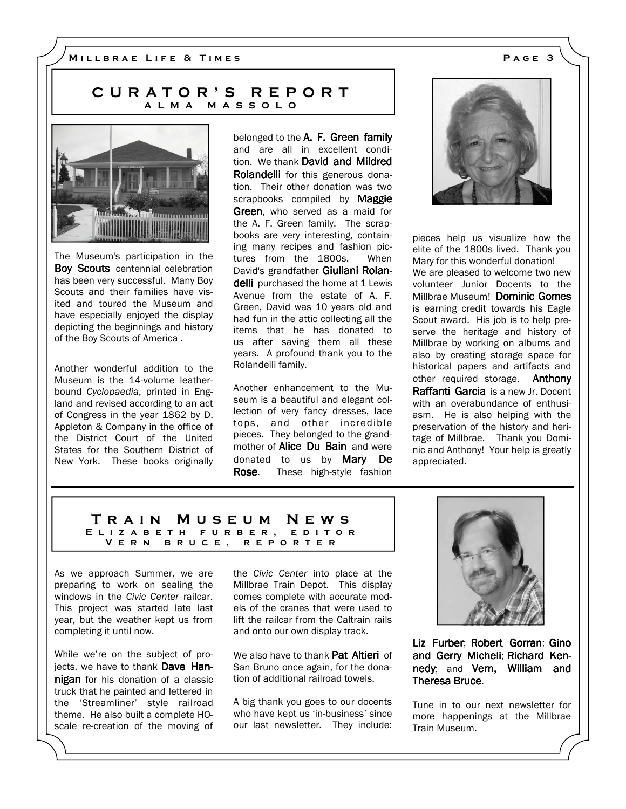# CURATOR'S REPORT A L M A M A S S O L O



The Museum's participation in the Boy Scouts centennial celebration has been very successful. Many Boy Scouts and their families have visited and toured the Museum and have especially enjoyed the display depicting the beginnings and history of the Boy Scouts of America .

Another wonderful addition to the Museum is the 14-volume leatherbound Cyclopaedia, printed in England and revised according to an act of Congress in the year 1862 by D. Appleton & Company in the office of the District Court of the United States for the Southern District of New York. These books originally belonged to the A. F. Green family and are all in excellent condition. We thank David and Mildred Rolandelli for this generous donation. Their other donation was two scrapbooks compiled by Maggie **Green**, who served as a maid for the A. F. Green family. The scrapbooks are very interesting, containing many recipes and fashion pictures from the 1800s. When David's grandfather Giuliani Rolandelli purchased the home at 1 Lewis Avenue from the estate of A. F. Green, David was 10 years old and had fun in the attic collecting all the items that he has donated to us after saving them all these years. A profound thank you to the Rolandelli family.

Another enhancement to the Museum is a beautiful and elegant collection of very fancy dresses, lace tops, and other incredible pieces. They belonged to the grandmother of **Alice Du Bain** and were donated to us by Mary De Rose. These high-style fashion



pieces help us visualize how the elite of the 1800s lived. Thank you Mary for this wonderful donation!

We are pleased to welcome two new volunteer Junior Docents to the Millbrae Museum! Dominic Gomes is earning credit towards his Eagle Scout award. His job is to help preserve the heritage and history of Millbrae by working on albums and also by creating storage space for historical papers and artifacts and other required storage. **Anthony** Raffanti Garcia is a new Jr. Docent with an overabundance of enthusiasm. He is also helping with the preservation of the history and heritage of Millbrae. Thank you Dominic and Anthony! Your help is greatly appreciated.

#### T r a i n M u s e u m N e w s E L I Z A B E T H F U R B E R , E D I T O R V E R N B R U C E, R E P O R T E R

As we approach Summer, we are preparing to work on sealing the windows in the Civic Center railcar. This project was started late last year, but the weather kept us from completing it until now.

While we're on the subject of projects, we have to thank Dave Hannigan for his donation of a classic truck that he painted and lettered in the 'Streamliner' style railroad theme. He also built a complete HOscale re-creation of the moving of the Civic Center into place at the Millbrae Train Depot. This display comes complete with accurate models of the cranes that were used to lift the railcar from the Caltrain rails and onto our own display track.

We also have to thank **Pat Altieri** of San Bruno once again, for the donation of additional railroad towels.

A big thank you goes to our docents who have kept us 'in-business' since our last newsletter. They include:



Liz Furber; Robert Gorran; Gino and Gerry Micheli; Richard Kennedy; and Vern, William and Theresa Bruce.

Tune in to our next newsletter for more happenings at the Millbrae Train Museum.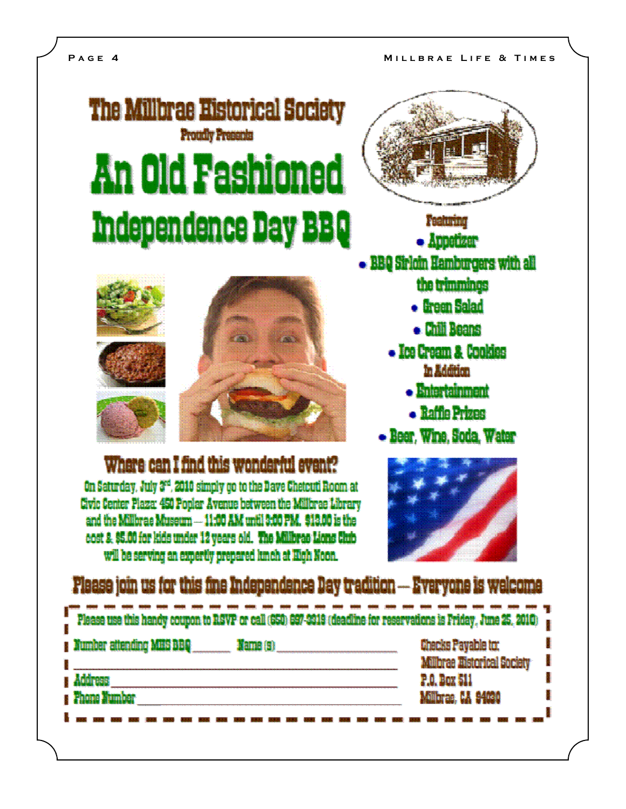# **The Millbrae Historical Society Proteily Presents An Old Fashioned Independence Day BBQ**



# Where can I find this wonderful event?

On Saturday, July 3<sup>rd</sup>, 2010 simply go to the Dave Chetcuti Room at Civic Center Plaza: 450 Poolar Avenue between the Millbrae Library and the Millbrae Museum - 11:00 AM until 3:00 PM, \$13.00 is the cost & \$5.00 for kids under 12 years old. The Millbras Lions Club will be serving an expertly prepared lunch at High Noon.



**Pasturing** 

- $\bullet$  Appoizer
- BBQ Sirloin Hamburgers with all

the trimmings

- firem Salad
- . Chili Beans
- Ice Cream & Cookies In Addition
	- Entertainment
	- · Raffie Prizes
- Beer. Wine. Soda, Water



# Please join us for this fine Independence Day tradition -- Everyone is welcome

| Please use this handy coupon to RSVP or call (650) 697-3319 (deadline for reservations is Friday, June 25, 2010) |  |
|------------------------------------------------------------------------------------------------------------------|--|
| aber attending MIIS BBQ.                                                                                         |  |
|                                                                                                                  |  |
|                                                                                                                  |  |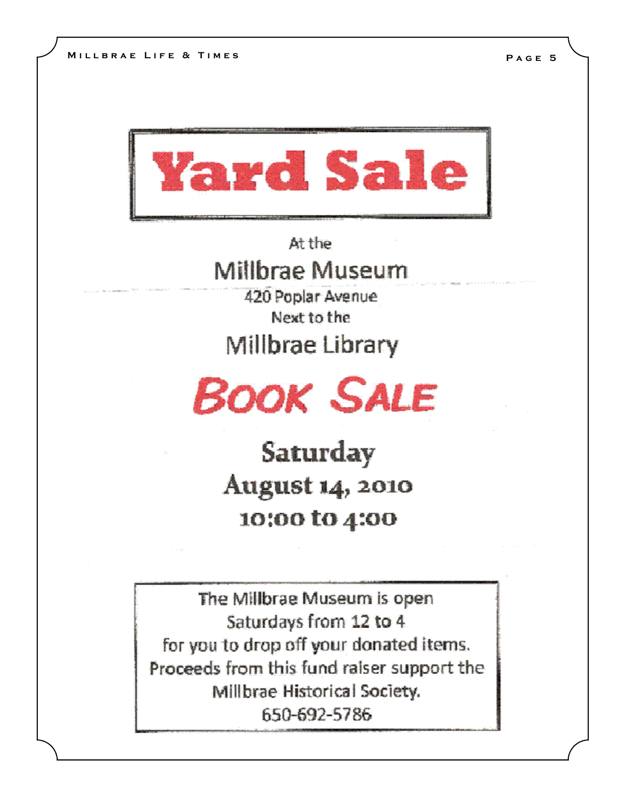

At the

Millbrae Museum

420 Poplar Avenue

Next to the

**Millbrae Library** 



Saturday **August 14, 2010** 10:00 to 4:00

The Millbrae Museum is open Saturdays from 12 to 4 for you to drop off your donated items. Proceeds from this fund raiser support the Millbrae Historical Society. 650-692-5786